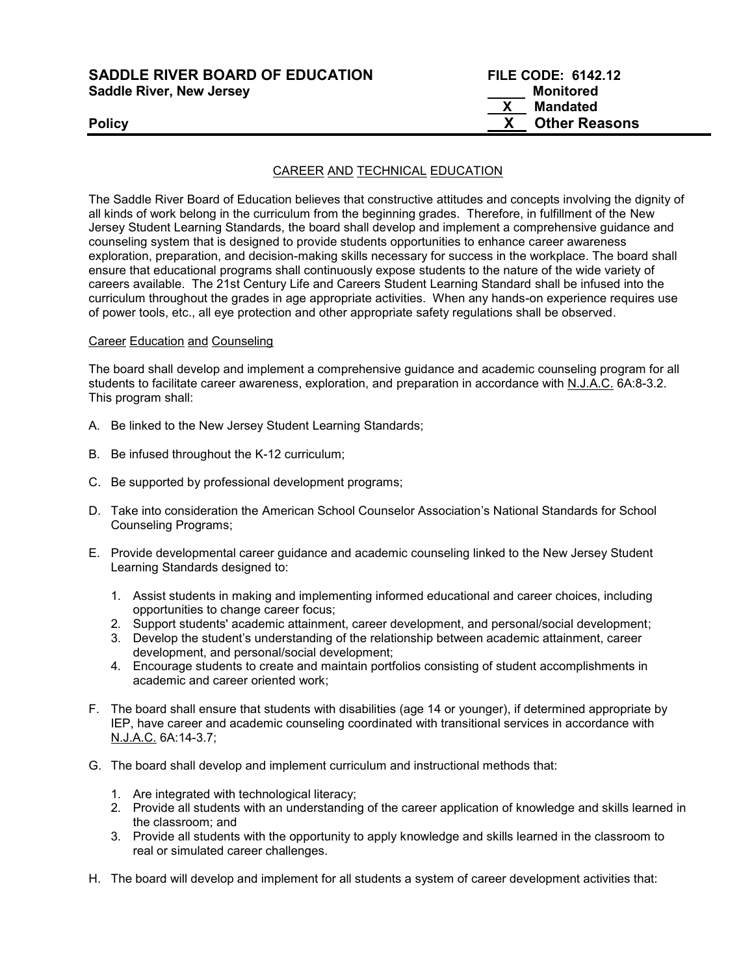SADDLE RIVER BOARD OF EDUCATION Saddle River, New Jersey

| <b>SADDLE RIVER BOARD OF EDUCATION</b> | <b>FILE CODE: 6142.12</b> |
|----------------------------------------|---------------------------|
| <b>Saddle River, New Jersey</b>        | Monitored                 |
|                                        | Mandated                  |
| <b>Policy</b>                          | <b>Other Reasons</b>      |

### CAREER AND TECHNICAL EDUCATION

The Saddle River Board of Education believes that constructive attitudes and concepts involving the dignity of all kinds of work belong in the curriculum from the beginning grades. Therefore, in fulfillment of the New Jersey Student Learning Standards, the board shall develop and implement a comprehensive guidance and counseling system that is designed to provide students opportunities to enhance career awareness exploration, preparation, and decision-making skills necessary for success in the workplace. The board shall ensure that educational programs shall continuously expose students to the nature of the wide variety of careers available. The 21st Century Life and Careers Student Learning Standard shall be infused into the curriculum throughout the grades in age appropriate activities. When any hands-on experience requires use of power tools, etc., all eye protection and other appropriate safety regulations shall be observed.

#### Career Education and Counseling

The board shall develop and implement a comprehensive guidance and academic counseling program for all students to facilitate career awareness, exploration, and preparation in accordance with N.J.A.C. 6A:8-3.2. This program shall:

- A. Be linked to the New Jersey Student Learning Standards;
- B. Be infused throughout the K-12 curriculum;
- C. Be supported by professional development programs;
- D. Take into consideration the American School Counselor Association's National Standards for School Counseling Programs;
- E. Provide developmental career guidance and academic counseling linked to the New Jersey Student Learning Standards designed to:
	- 1. Assist students in making and implementing informed educational and career choices, including opportunities to change career focus;
	- 2. Support students' academic attainment, career development, and personal/social development;
	- 3. Develop the student's understanding of the relationship between academic attainment, career development, and personal/social development;
	- 4. Encourage students to create and maintain portfolios consisting of student accomplishments in academic and career oriented work;
- F. The board shall ensure that students with disabilities (age 14 or younger), if determined appropriate by IEP, have career and academic counseling coordinated with transitional services in accordance with N.J.A.C. 6A:14-3.7;
- G. The board shall develop and implement curriculum and instructional methods that:
	- 1. Are integrated with technological literacy;
	- 2. Provide all students with an understanding of the career application of knowledge and skills learned in the classroom; and
	- 3. Provide all students with the opportunity to apply knowledge and skills learned in the classroom to real or simulated career challenges.
- H. The board will develop and implement for all students a system of career development activities that: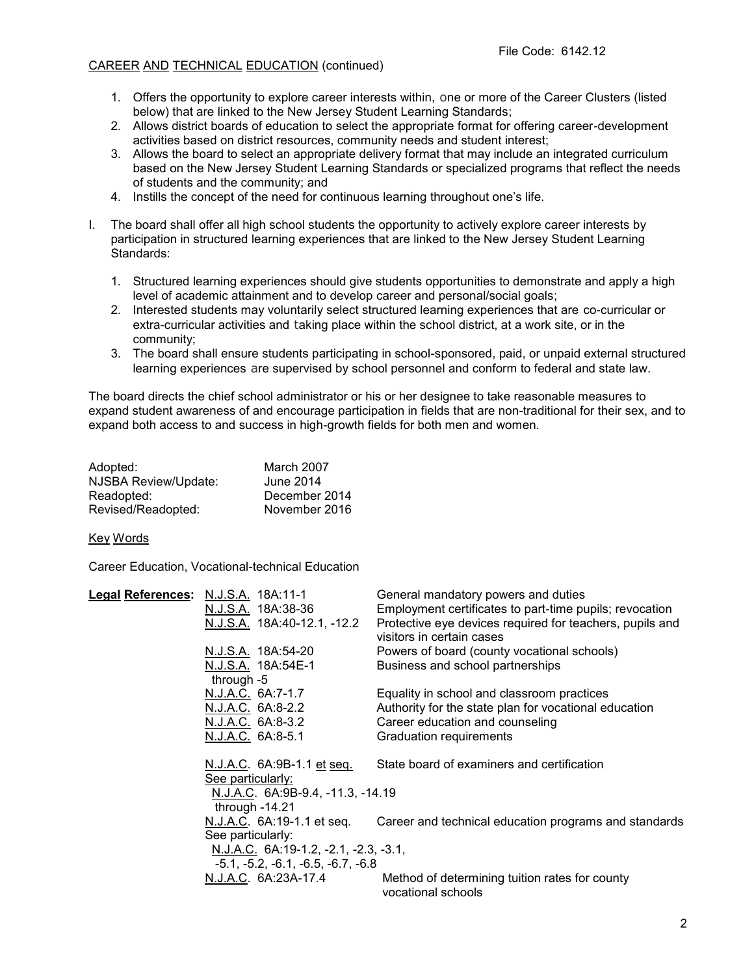# CAREER AND TECHNICAL EDUCATION (continued)

- 1. Offers the opportunity to explore career interests within, one or more of the Career Clusters (listed below) that are linked to the New Jersey Student Learning Standards;
- 2. Allows district boards of education to select the appropriate format for offering career-development activities based on district resources, community needs and student interest;
- 3. Allows the board to select an appropriate delivery format that may include an integrated curriculum based on the New Jersey Student Learning Standards or specialized programs that reflect the needs of students and the community; and
- 4. Instills the concept of the need for continuous learning throughout one's life.
- I. The board shall offer all high school students the opportunity to actively explore career interests by participation in structured learning experiences that are linked to the New Jersey Student Learning Standards:
	- 1. Structured learning experiences should give students opportunities to demonstrate and apply a high level of academic attainment and to develop career and personal/social goals;
	- 2. Interested students may voluntarily select structured learning experiences that are co-curricular or extra-curricular activities and taking place within the school district, at a work site, or in the community;
	- 3. The board shall ensure students participating in school-sponsored, paid, or unpaid external structured learning experiences are supervised by school personnel and conform to federal and state law.

The board directs the chief school administrator or his or her designee to take reasonable measures to expand student awareness of and encourage participation in fields that are non-traditional for their sex, and to expand both access to and success in high-growth fields for both men and women.

| Adopted:             | March 2007    |
|----------------------|---------------|
| NJSBA Review/Update: | June 2014     |
| Readopted:           | December 2014 |
| Revised/Readopted:   | November 2016 |

#### Key Words

Career Education, Vocational-technical Education

| Legal References: N.J.S.A. 18A:11-1 |                                                        | General mandatory powers and duties                                                   |
|-------------------------------------|--------------------------------------------------------|---------------------------------------------------------------------------------------|
|                                     | N.J.S.A. 18A:38-36                                     | Employment certificates to part-time pupils; revocation                               |
|                                     | N.J.S.A. 18A:40-12.1, -12.2                            | Protective eye devices required for teachers, pupils and<br>visitors in certain cases |
|                                     | N.J.S.A. 18A:54-20                                     | Powers of board (county vocational schools)                                           |
|                                     | N.J.S.A. 18A:54E-1                                     | Business and school partnerships                                                      |
|                                     | through $-5$                                           |                                                                                       |
|                                     | N.J.A.C. 6A:7-1.7                                      | Equality in school and classroom practices                                            |
|                                     | N.J.A.C. 6A:8-2.2                                      | Authority for the state plan for vocational education                                 |
|                                     | N.J.A.C. 6A:8-3.2                                      | Career education and counseling                                                       |
|                                     | N.J.A.C. 6A:8-5.1                                      | Graduation requirements                                                               |
|                                     | <u>N.J.A.C.</u> 6A:9B-1.1 et seq.<br>See particularly: | State board of examiners and certification                                            |
|                                     | N.J.A.C. 6A:9B-9.4, -11.3, -14.19                      |                                                                                       |
|                                     | through $-14.21$                                       |                                                                                       |
|                                     | N.J.A.C. 6A:19-1.1 et seq.                             | Career and technical education programs and standards                                 |
|                                     | See particularly:                                      |                                                                                       |
|                                     | N.J.A.C. 6A:19-1.2, -2.1, -2.3, -3.1,                  |                                                                                       |
|                                     | $-5.1, -5.2, -6.1, -6.5, -6.7, -6.8$                   |                                                                                       |
|                                     | N.J.A.C. 6A:23A-17.4                                   | Method of determining tuition rates for county<br>vocational schools                  |